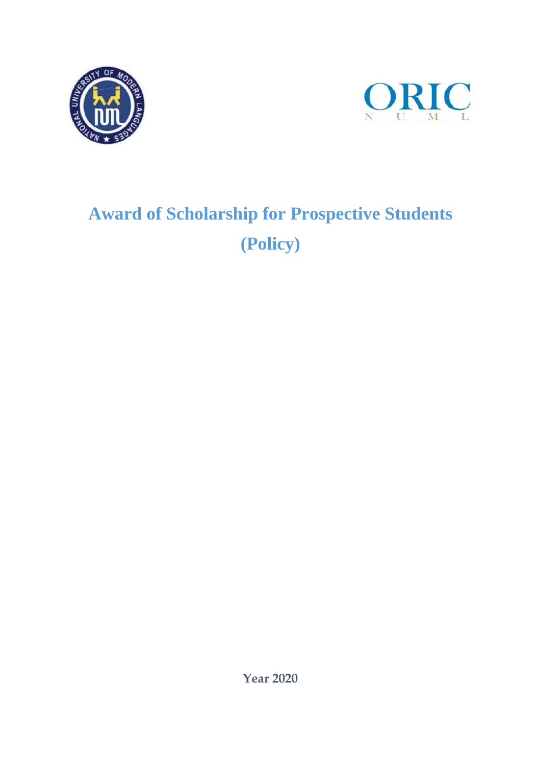



# **Award of Scholarship for Prospective Students (Policy)**

**Year 2020**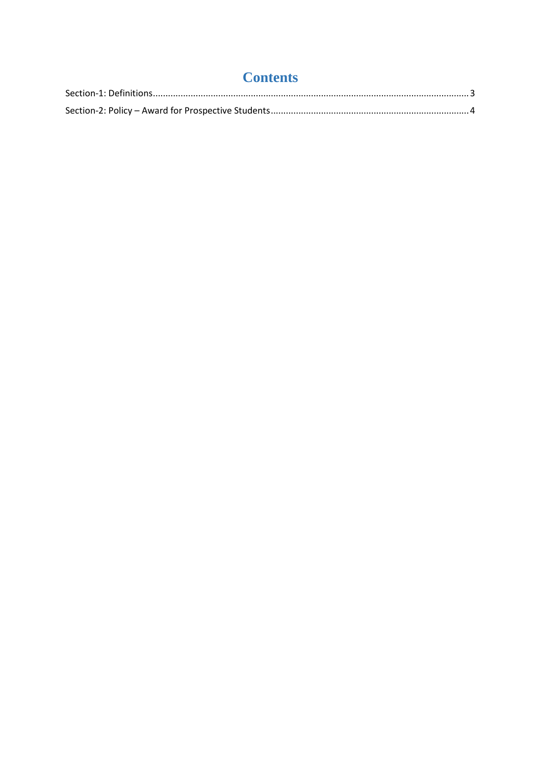| <b>Contents</b> |  |
|-----------------|--|
|                 |  |
|                 |  |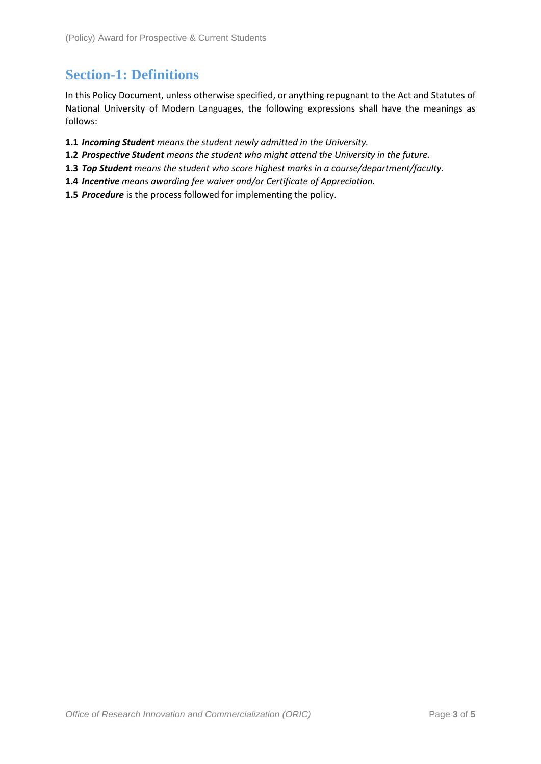## <span id="page-2-0"></span>**Section-1: Definitions**

In this Policy Document, unless otherwise specified, or anything repugnant to the Act and Statutes of National University of Modern Languages, the following expressions shall have the meanings as follows:

- **1.1** *Incoming Student means the student newly admitted in the University.*
- **1.2** *Prospective Student means the student who might attend the University in the future.*
- **1.3** *Top Student means the student who score highest marks in a course/department/faculty.*
- **1.4** *Incentive means awarding fee waiver and/or Certificate of Appreciation.*
- **1.5** *Procedure* is the process followed for implementing the policy.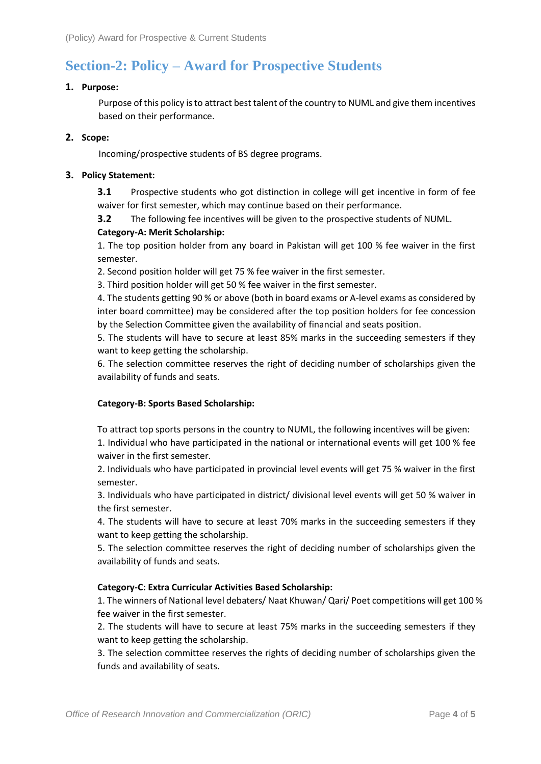# <span id="page-3-0"></span>**Section-2: Policy – Award for Prospective Students**

#### **1. Purpose:**

Purpose of this policy is to attract best talent of the country to NUML and give them incentives based on their performance.

#### **2. Scope:**

Incoming/prospective students of BS degree programs.

#### **3. Policy Statement:**

**3.1** Prospective students who got distinction in college will get incentive in form of fee waiver for first semester, which may continue based on their performance.

**3.2** The following fee incentives will be given to the prospective students of NUML. **Category-A: Merit Scholarship:** 

1. The top position holder from any board in Pakistan will get 100 % fee waiver in the first semester.

2. Second position holder will get 75 % fee waiver in the first semester.

3. Third position holder will get 50 % fee waiver in the first semester.

4. The students getting 90 % or above (both in board exams or A-level exams as considered by inter board committee) may be considered after the top position holders for fee concession by the Selection Committee given the availability of financial and seats position.

5. The students will have to secure at least 85% marks in the succeeding semesters if they want to keep getting the scholarship.

6. The selection committee reserves the right of deciding number of scholarships given the availability of funds and seats.

#### **Category-B: Sports Based Scholarship:**

To attract top sports persons in the country to NUML, the following incentives will be given:

1. Individual who have participated in the national or international events will get 100 % fee waiver in the first semester.

2. Individuals who have participated in provincial level events will get 75 % waiver in the first semester.

3. Individuals who have participated in district/ divisional level events will get 50 % waiver in the first semester.

4. The students will have to secure at least 70% marks in the succeeding semesters if they want to keep getting the scholarship.

5. The selection committee reserves the right of deciding number of scholarships given the availability of funds and seats.

### **Category-C: Extra Curricular Activities Based Scholarship:**

1. The winners of National level debaters/ Naat Khuwan/ Qari/ Poet competitions will get 100 % fee waiver in the first semester.

2. The students will have to secure at least 75% marks in the succeeding semesters if they want to keep getting the scholarship.

3. The selection committee reserves the rights of deciding number of scholarships given the funds and availability of seats.